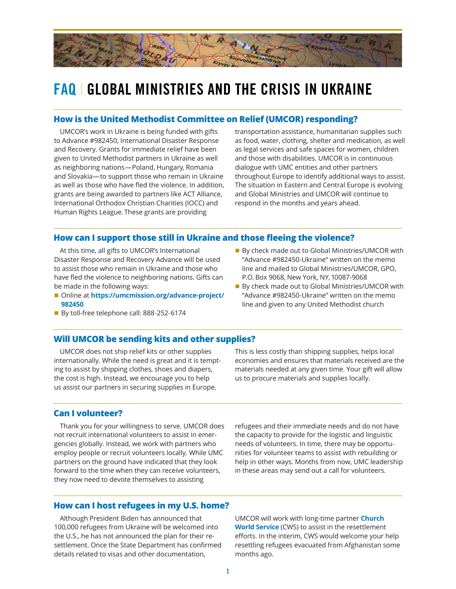

# **FAQ** | **GLOBAL MINISTRIES AND THE CRISIS IN UKRAINE**

#### **How is the United Methodist Committee on Relief (UMCOR) responding?**

UMCOR's work in Ukraine is being funded with gifts to Advance #982450, International Disaster Response and Recovery. Grants for immediate relief have been given to United Methodist partners in Ukraine as well as neighboring nations—Poland, Hungary, Romania and Slovakia—to support those who remain in Ukraine as well as those who have fled the violence. In addition, grants are being awarded to partners like ACT Alliance, International Orthodox Christian Charities (IOCC) and Human Rights League. These grants are providing

transportation assistance, humanitarian supplies such as food, water, clothing, shelter and medication, as well as legal services and safe spaces for women, children and those with disabilities. UMCOR is in continuous dialogue with UMC entities and other partners throughout Europe to identify additional ways to assist. The situation in Eastern and Central Europe is evolving and Global Ministries and UMCOR will continue to respond in the months and years ahead.

#### **How can I support those still in Ukraine and those fleeing the violence?**

At this time, all gifts to UMCOR's International Disaster Response and Recovery Advance will be used to assist those who remain in Ukraine and those who have fled the violence to neighboring nations. Gifts can be made in the following ways:

- Online at **[https://umcmission.org/advance-project/](https://umcmission.org/advance-project/982450) [982450](https://umcmission.org/advance-project/982450)**
- By toll-free telephone call: 888-252-6174
- By check made out to Global Ministries/UMCOR with "Advance #982450-Ukraine" written on the memo line and mailed to Global Ministries/UMCOR, GPO, P.O. Box 9068, New York, NY, 10087-9068
- By check made out to Global Ministries/UMCOR with "Advance #982450-Ukraine" written on the memo line and given to any United Methodist church

#### **Will UMCOR be sending kits and other supplies?**

UMCOR does not ship relief kits or other supplies internationally. While the need is great and it is tempting to assist by shipping clothes, shoes and diapers, the cost is high. Instead, we encourage you to help us assist our partners in securing supplies in Europe.

This is less costly than shipping supplies, helps local economies and ensures that materials received are the materials needed at any given time. Your gift will allow us to procure materials and supplies locally.

### **Can I volunteer?**

Thank you for your willingness to serve. UMCOR does not recruit international volunteers to assist in emergencies globally. Instead, we work with partners who employ people or recruit volunteers locally. While UMC partners on the ground have indicated that they look forward to the time when they can receive volunteers, they now need to devote themselves to assisting

refugees and their immediate needs and do not have the capacity to provide for the logistic and linguistic needs of volunteers. In time, there may be opportunities for volunteer teams to assist with rebuilding or help in other ways. Months from now, UMC leadership in these areas may send out a call for volunteers.

#### **How can I host refugees in my U.S. home?**

Although President Biden has announced that 100,000 refugees from Ukraine will be welcomed into the U.S., he has not announced the plan for their resettlement. Once the State Department has confirmed details related to visas and other documentation,

UMCOR will work with long-time partner **[Church](https://cwsglobal.org/)  [World Service](https://cwsglobal.org/)** (CWS) to assist in the resettlement efforts. In the interim, CWS would welcome your help resettling refugees evacuated from Afghanistan some months ago.